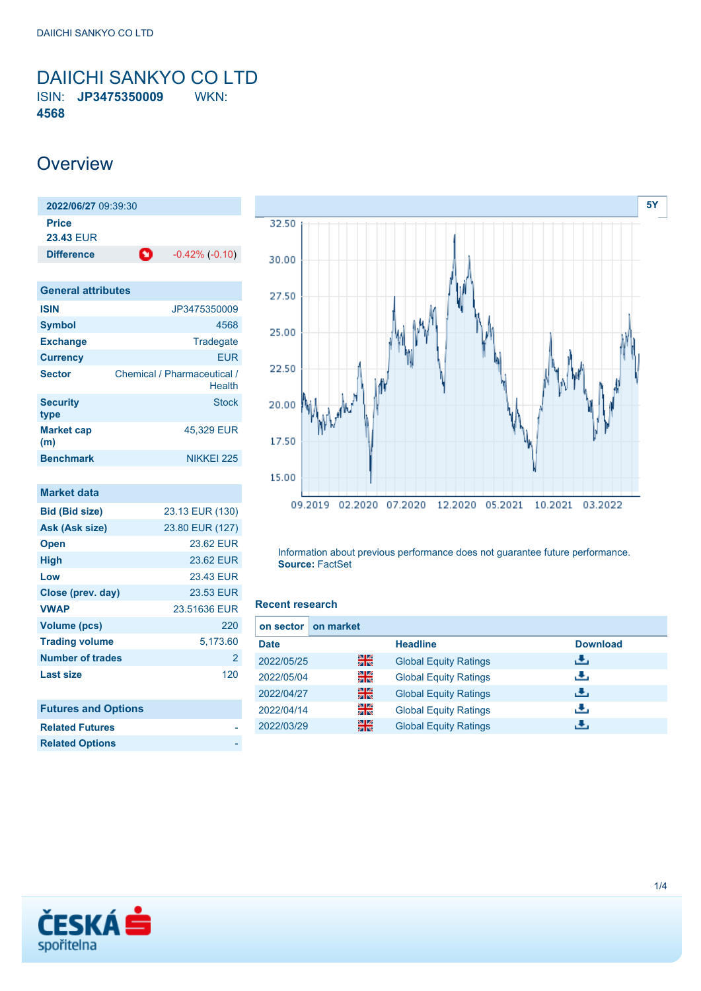<span id="page-0-0"></span>DAIICHI SANKYO CO LTD ISIN: **JP3475350009** WKN: **4568**

## **Overview**

| $-0.42\%$ $(-0.10)$ |
|---------------------|
|                     |

| <b>General attributes</b> |                                       |  |  |  |  |
|---------------------------|---------------------------------------|--|--|--|--|
| <b>ISIN</b>               | JP3475350009                          |  |  |  |  |
| <b>Symbol</b>             | 4568                                  |  |  |  |  |
| <b>Exchange</b>           | Tradegate                             |  |  |  |  |
| <b>Currency</b>           | <b>EUR</b>                            |  |  |  |  |
| <b>Sector</b>             | Chemical / Pharmaceutical /<br>Health |  |  |  |  |
| <b>Security</b><br>type   | <b>Stock</b>                          |  |  |  |  |
| <b>Market cap</b><br>(m)  | 45.329 EUR                            |  |  |  |  |
| <b>Benchmark</b>          | NIKKFI 225                            |  |  |  |  |

| <b>Market data</b>         |                 |
|----------------------------|-----------------|
| <b>Bid (Bid size)</b>      | 23.13 EUR (130) |
| Ask (Ask size)             | 23.80 EUR (127) |
| <b>Open</b>                | 23.62 FUR       |
| <b>High</b>                | 23.62 EUR       |
| Low                        | 23.43 EUR       |
| Close (prev. day)          | 23.53 EUR       |
| <b>VWAP</b>                | 23.51636 EUR    |
| Volume (pcs)               | 220             |
| <b>Trading volume</b>      | 5.173.60        |
| <b>Number of trades</b>    | $\overline{2}$  |
| <b>Last size</b>           | 120             |
|                            |                 |
| <b>Futures and Options</b> |                 |



Information about previous performance does not guarantee future performance. **Source:** FactSet

#### **Recent research**

| on market<br>on sector |    |                              |                 |
|------------------------|----|------------------------------|-----------------|
| <b>Date</b>            |    | <b>Headline</b>              | <b>Download</b> |
| 2022/05/25             | 을중 | <b>Global Equity Ratings</b> | ريان            |
| 2022/05/04             | 읡  | <b>Global Equity Ratings</b> | رنان            |
| 2022/04/27             | 噐  | <b>Global Equity Ratings</b> | æ,              |
| 2022/04/14             | 읡  | <b>Global Equity Ratings</b> | æ,              |
| 2022/03/29             | 읡k | <b>Global Equity Ratings</b> | υ.              |



**Related Futures Related Options**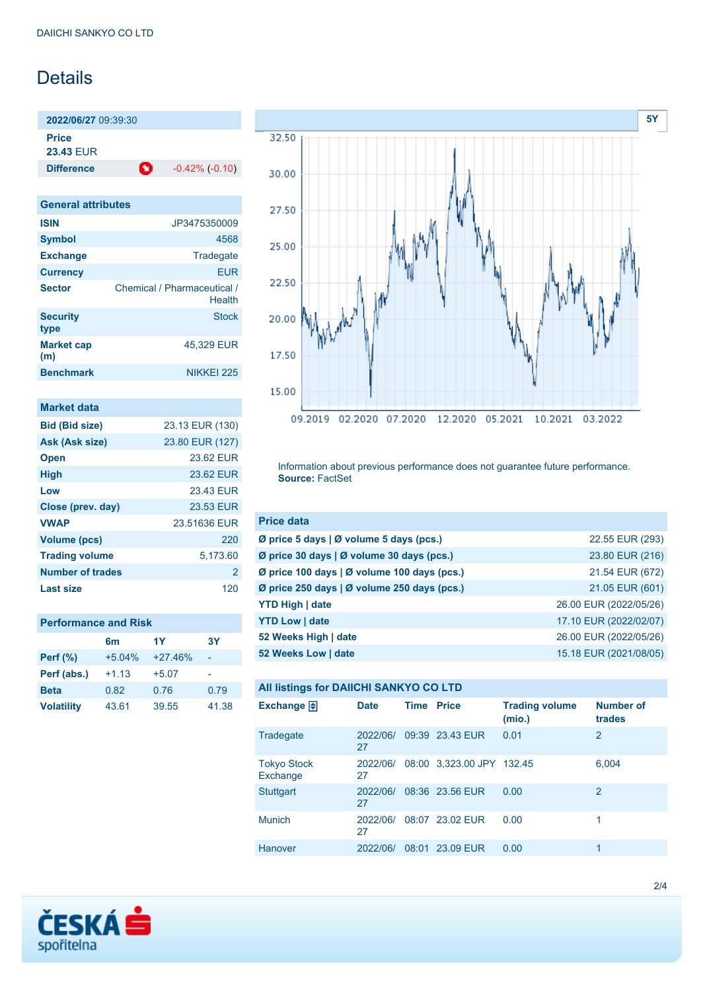## Details

**2022/06/27** 09:39:30 **Price 23.43** EUR

**Difference**  $-0.42\%(-0.10)$ 

**General attributes ISIN** JP3475350009 **Symbol** 4568 Exchange Tradegate **Currency** EUR Sector **Chemical / Pharmaceutical / Health Security type Stock Market cap (m)** 45,329 EUR **Benchmark** NIKKEI 225

| Market data             |                 |
|-------------------------|-----------------|
| <b>Bid (Bid size)</b>   | 23.13 EUR (130) |
| Ask (Ask size)          | 23.80 EUR (127) |
| <b>Open</b>             | 23.62 FUR       |
| <b>High</b>             | 23.62 EUR       |
| Low                     | 23.43 EUR       |
| Close (prev. day)       | 23.53 EUR       |
| <b>VWAP</b>             | 23.51636 EUR    |
| <b>Volume (pcs)</b>     | 220             |
| <b>Trading volume</b>   | 5,173.60        |
| <b>Number of trades</b> | 2               |
| Last size               | 120             |

| <b>Performance and Risk</b> |          |           |           |  |  |  |
|-----------------------------|----------|-----------|-----------|--|--|--|
|                             | 6m       | 1Y        | <b>3Y</b> |  |  |  |
| <b>Perf (%)</b>             | $+5.04%$ | $+27.46%$ |           |  |  |  |
| Perf (abs.)                 | $+1.13$  | $+5.07$   |           |  |  |  |
| <b>Beta</b>                 | 0.82     | 0.76      | 0.79      |  |  |  |
| <b>Volatility</b>           | 43.61    | 39.55     | 41.38     |  |  |  |



Information about previous performance does not guarantee future performance. **Source:** FactSet

| <b>Price data</b>                           |                        |
|---------------------------------------------|------------------------|
| Ø price 5 days   Ø volume 5 days (pcs.)     | 22.55 EUR (293)        |
| Ø price 30 days   Ø volume 30 days (pcs.)   | 23.80 EUR (216)        |
| Ø price 100 days   Ø volume 100 days (pcs.) | 21.54 EUR (672)        |
| Ø price 250 days   Ø volume 250 days (pcs.) | 21.05 EUR (601)        |
| <b>YTD High   date</b>                      | 26.00 EUR (2022/05/26) |
| <b>YTD Low   date</b>                       | 17.10 EUR (2022/02/07) |
| 52 Weeks High   date                        | 26.00 EUR (2022/05/26) |
| 52 Weeks Low   date                         | 15.18 EUR (2021/08/05) |

### **All listings for DAIICHI SANKYO CO LTD**

| Exchange $\Box$                | <b>Date</b>    | Time  | <b>Price</b>              | <b>Trading volume</b><br>(mio.) | <b>Number of</b><br>trades |
|--------------------------------|----------------|-------|---------------------------|---------------------------------|----------------------------|
| Tradegate                      | 2022/06/<br>27 |       | 09:39 23.43 EUR           | 0.01                            | 2                          |
| <b>Tokyo Stock</b><br>Exchange | 2022/06/<br>27 |       | 08:00 3,323.00 JPY 132.45 |                                 | 6,004                      |
| <b>Stuttgart</b>               | 2022/06/<br>27 |       | 08:36 23.56 EUR           | 0.00                            | 2                          |
| <b>Munich</b>                  | 2022/06/<br>27 |       | 08:07 23.02 FUR           | 0.00                            | 1                          |
| Hanover                        | 2022/06/       | 08:01 | 23.09 EUR                 | 0.00                            | 1                          |

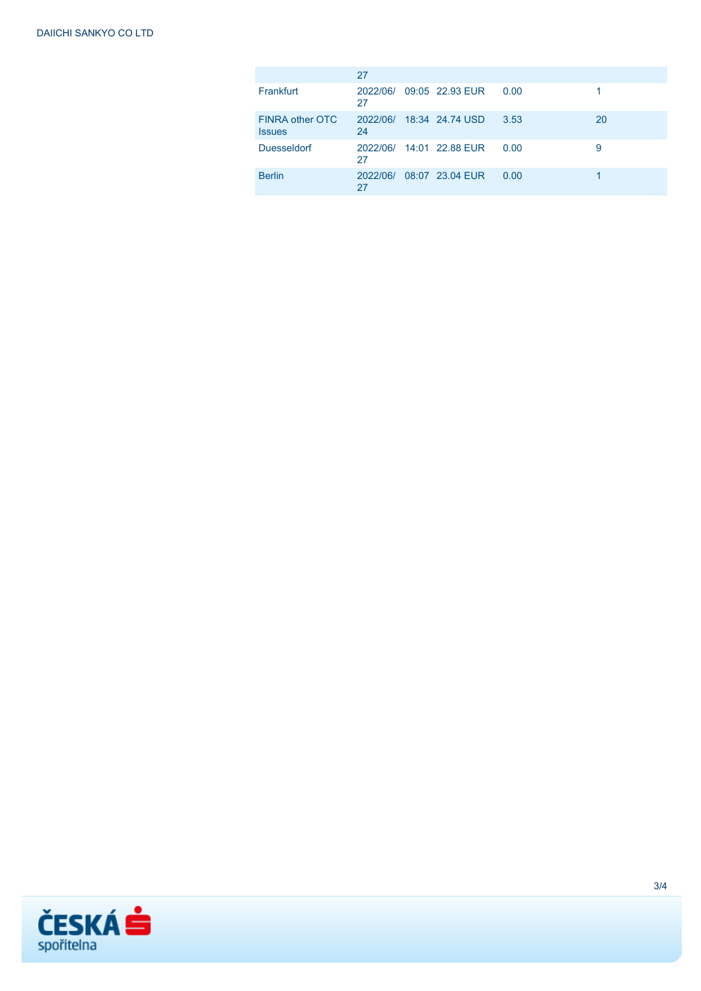|                                  | 27       |                          |      |    |
|----------------------------------|----------|--------------------------|------|----|
| Frankfurt                        | 27       | 2022/06/ 09:05 22.93 EUR | 0.00 |    |
| FINRA other OTC<br><b>Issues</b> | 24       | 2022/06/ 18:34 24.74 USD | 3.53 | 20 |
| <b>Duesseldorf</b>               | 27       | 2022/06/ 14:01 22.88 EUR | 0.00 | 9  |
| <b>Berlin</b>                    | 2022/06/ | 08:07 23.04 EUR          | 0.00 |    |